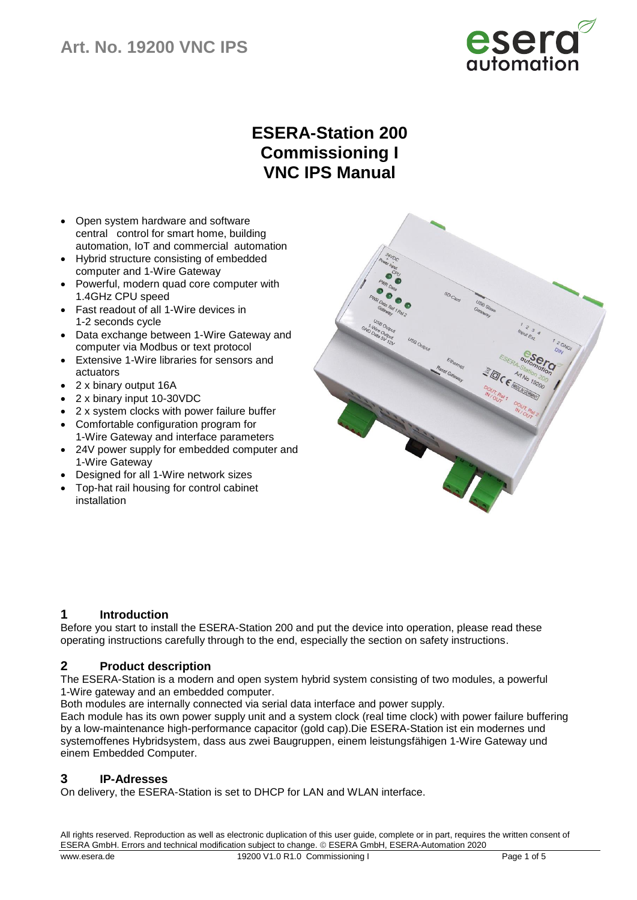

# **ESERA-Station 200 Commissioning I VNC IPS Manual**

- Open system hardware and software central control for smart home, building automation, IoT and commercial automation
- Hybrid structure consisting of embedded computer and 1-Wire Gateway
- Powerful, modern quad core computer with 1.4GHz CPU speed
- Fast readout of all 1-Wire devices in 1-2 seconds cycle
- Data exchange between 1-Wire Gateway and computer via Modbus or text protocol
- Extensive 1-Wire libraries for sensors and actuators
- 2 x binary output 16A
- 2 x binary input 10-30VDC
- 2 x system clocks with power failure buffer
- Comfortable configuration program for 1-Wire Gateway and interface parameters
- 24V power supply for embedded computer and 1-Wire Gateway
- Designed for all 1-Wire network sizes
- Top-hat rail housing for control cabinet installation



## **1 Introduction**

Before you start to install the ESERA-Station 200 and put the device into operation, please read these operating instructions carefully through to the end, especially the section on safety instructions.

## **2 Product description**

The ESERA-Station is a modern and open system hybrid system consisting of two modules, a powerful 1-Wire gateway and an embedded computer.

Both modules are internally connected via serial data interface and power supply.

Each module has its own power supply unit and a system clock (real time clock) with power failure buffering by a low-maintenance high-performance capacitor (gold cap).Die ESERA-Station ist ein modernes und systemoffenes Hybridsystem, dass aus zwei Baugruppen, einem leistungsfähigen 1-Wire Gateway und einem Embedded Computer.

## **3 IP-Adresses**

On delivery, the ESERA-Station is set to DHCP for LAN and WLAN interface.

All rights reserved. Reproduction as well as electronic duplication of this user guide, complete or in part, requires the written consent of ESERA GmbH. Errors and technical modification subject to change. ESERA GmbH, ESERA-Automation 2020 www.esera.de 19200 V1.0 R1.0 Commissioning I Page 1 of 5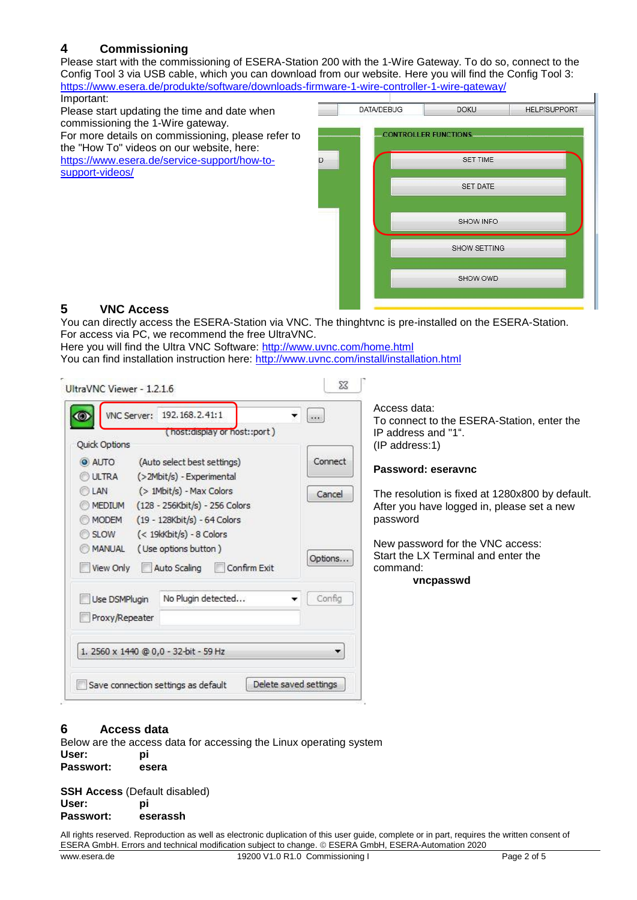## **4 Commissioning**

Please start with the commissioning of ESERA-Station 200 with the 1-Wire Gateway. To do so, connect to the Config Tool 3 via USB cable, which you can download from our website. Here you will find the Config Tool 3: <https://www.esera.de/produkte/software/downloads-firmware-1-wire-controller-1-wire-gateway/>

Important: Please start updating the time and date when commissioning the 1-Wire gateway. For more details on commissioning, please refer to the "How To" videos on our website, here: [https://www.esera.de/service-support/how-to-](https://www.esera.de/service-support/how-to-support-videos/)

[support-videos/](https://www.esera.de/service-support/how-to-support-videos/)

| <b>DATA/DEBUG</b>           | <b>DOKU</b>     | <b>HELP/SUPPORT</b> |
|-----------------------------|-----------------|---------------------|
| <b>CONTROLLER FUNCTIONS</b> |                 |                     |
|                             | <b>SET TIME</b> |                     |
|                             | <b>SET DATE</b> |                     |
|                             | SHOW INFO       |                     |
|                             | SHOW SETTING    |                     |
|                             | SHOW OWD        |                     |
|                             |                 |                     |

## **5 VNC Access**

You can directly access the ESERA-Station via VNC. The thinghtvnc is pre-installed on the ESERA-Station. For access via PC, we recommend the free UltraVNC.

Here you will find the Ultra VNC Software:<http://www.uvnc.com/home.html> You can find installation instruction here: <http://www.uvnc.com/install/installation.html>

| VNC Server: 192.168.2.41:1<br>٠<br>(host:display or host::port)<br>Quick Options                                                                                                                                                                                                                                                                         | $rac{1}{2}$                  | Access data:<br>To connect to the ESERA-Station, enter the<br>IP address and "1".                                                                                                                                                                     |
|----------------------------------------------------------------------------------------------------------------------------------------------------------------------------------------------------------------------------------------------------------------------------------------------------------------------------------------------------------|------------------------------|-------------------------------------------------------------------------------------------------------------------------------------------------------------------------------------------------------------------------------------------------------|
| (Auto select best settings)<br><b>O</b> AUTO<br>(>2Mbit/s) - Experimental<br>ULTRA<br>(> 1Mbit/s) - Max Colors<br>LAN<br>MEDIUM<br>(128 - 256Kbit/s) - 256 Colors<br>(19 - 128Kbit/s) - 64 Colors<br><b>MODEM</b><br>SLOW <sub>5</sub><br>(< 19kKbit/s) - 8 Colors<br>(Use options button)<br><b>MANUAL</b><br>View Only<br>Auto Scaling<br>Confirm Exit | Connect<br>Cancel<br>Options | (IP address:1)<br>Password: eseravnc<br>The resolution is fixed at 1280x800 by default.<br>After you have logged in, please set a new<br>password<br>New password for the VNC access:<br>Start the LX Terminal and enter the<br>command:<br>vncpasswd |
| No Plugin detected<br>Use DSMPlugin<br>Proxy/Repeater                                                                                                                                                                                                                                                                                                    | Config                       |                                                                                                                                                                                                                                                       |
| 1. 2560 x 1440 @ 0,0 - 32-bit - 59 Hz<br>Delete saved settings<br>Save connection settings as default                                                                                                                                                                                                                                                    |                              |                                                                                                                                                                                                                                                       |

# **6 Access data**

Below are the access data for accessing the Linux operating system **User: pi Passwort: esera**

**SSH Access** (Default disabled) **User: pi Passwort: eserassh**

All rights reserved. Reproduction as well as electronic duplication of this user guide, complete or in part, requires the written consent of ESERA GmbH. Errors and technical modification subject to change. ESERA GmbH, ESERA-Automation 2020 www.esera.de 19200 V1.0 R1.0 Commissioning I Page 2 of 5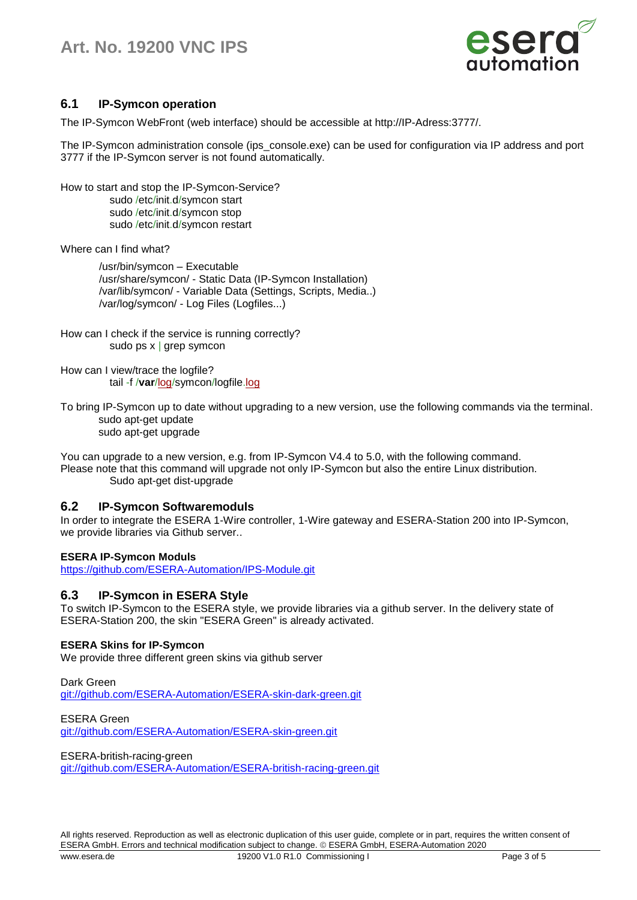# **Art. No. 19200 VNC IPS**



## **6.1 IP-Symcon operation**

The IP-Symcon WebFront (web interface) should be accessible at http://IP-Adress:3777/.

The IP-Symcon administration console (ips\_console.exe) can be used for configuration via IP address and port 3777 if the IP-Symcon server is not found automatically.

How to start and stop the IP-Symcon-Service? sudo /etc/init.d/symcon start sudo /etc/init.d/symcon stop sudo /etc/init.d/symcon restart

Where can I find what?

/usr/bin/symcon – Executable /usr/share/symcon/ - Static Data (IP-Symcon Installation) /var/lib/symcon/ - Variable Data (Settings, Scripts, Media..) /var/log/symcon/ - Log Files (Logfiles...)

How can I check if the service is running correctly? sudo ps x | grep symcon

How can I view/trace the logfile? tail -f /**var**[/log/](http://www.php.net/log)symcon/logfile[.log](http://www.php.net/log)

To bring IP-Symcon up to date without upgrading to a new version, use the following commands via the terminal. sudo apt-get update sudo apt-get upgrade

You can upgrade to a new version, e.g. from IP-Symcon V4.4 to 5.0, with the following command. Please note that this command will upgrade not only IP-Symcon but also the entire Linux distribution. Sudo apt-get dist-upgrade

#### **6.2 IP-Symcon Softwaremoduls**

In order to integrate the ESERA 1-Wire controller, 1-Wire gateway and ESERA-Station 200 into IP-Symcon, we provide libraries via Github server..

#### **ESERA IP-Symcon Moduls**

<https://github.com/ESERA-Automation/IPS-Module.git>

#### **6.3 IP-Symcon in ESERA Style**

To switch IP-Symcon to the ESERA style, we provide libraries via a github server. In the delivery state of ESERA-Station 200, the skin "ESERA Green" is already activated.

#### **ESERA Skins for IP-Symcon**

We provide three different green skins via github server

Dark Green [git://github.com/ESERA-Automation/ESERA-skin-dark-green.git](https://github.com/ESERA-Automation/ESERA-skin-dark-green.git)

ESERA Green [git://github.com/ESERA-Automation/ESERA-skin-green.git](https://github.com/ESERA-Automation/ESERA-skin-green.git)

ESERA-british-racing-green

[git://github.com/ESERA-Automation/ESERA-british-racing-green.git](https://github.com/ESERA-Automation/ESERA-british-racing-green.git)

All rights reserved. Reproduction as well as electronic duplication of this user guide, complete or in part, requires the written consent of ESERA GmbH. Errors and technical modification subject to change. ESERA GmbH, ESERA-Automation 2020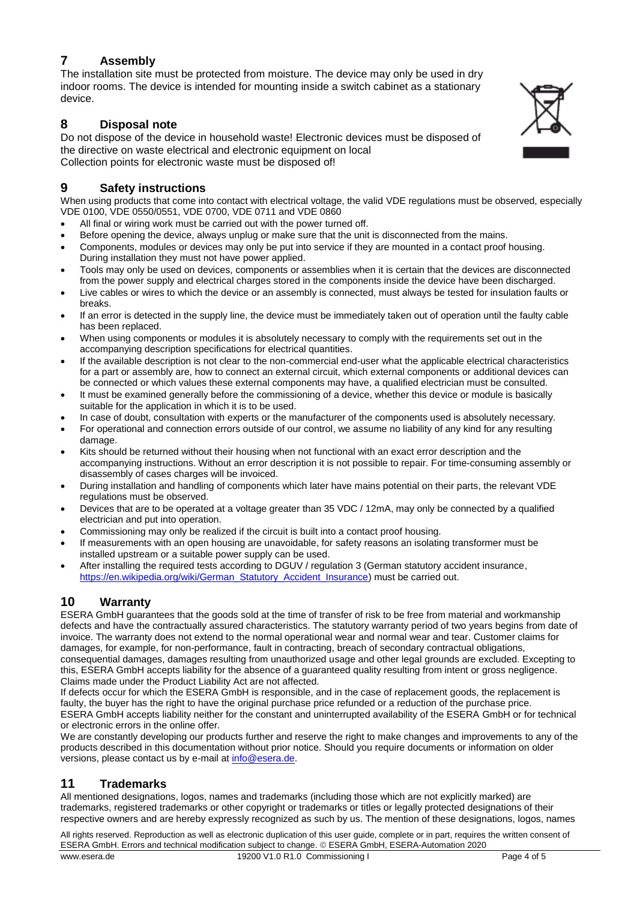## **7 Assembly**

The installation site must be protected from moisture. The device may only be used in dry indoor rooms. The device is intended for mounting inside a switch cabinet as a stationary device.

## **8 Disposal note**

Do not dispose of the device in household waste! Electronic devices must be disposed of the directive on waste electrical and electronic equipment on local Collection points for electronic waste must be disposed of!

## **9 Safety instructions**

When using products that come into contact with electrical voltage, the valid VDE regulations must be observed, especially VDE 0100, VDE 0550/0551, VDE 0700, VDE 0711 and VDE 0860

- All final or wiring work must be carried out with the power turned off.
- Before opening the device, always unplug or make sure that the unit is disconnected from the mains.
- Components, modules or devices may only be put into service if they are mounted in a contact proof housing. During installation they must not have power applied.
- Tools may only be used on devices, components or assemblies when it is certain that the devices are disconnected from the power supply and electrical charges stored in the components inside the device have been discharged.
- Live cables or wires to which the device or an assembly is connected, must always be tested for insulation faults or breaks.
- If an error is detected in the supply line, the device must be immediately taken out of operation until the faulty cable has been replaced.
- When using components or modules it is absolutely necessary to comply with the requirements set out in the accompanying description specifications for electrical quantities.
- If the available description is not clear to the non-commercial end-user what the applicable electrical characteristics for a part or assembly are, how to connect an external circuit, which external components or additional devices can be connected or which values these external components may have, a qualified electrician must be consulted.
- It must be examined generally before the commissioning of a device, whether this device or module is basically suitable for the application in which it is to be used.
- In case of doubt, consultation with experts or the manufacturer of the components used is absolutely necessary.
- For operational and connection errors outside of our control, we assume no liability of any kind for any resulting damage.
- Kits should be returned without their housing when not functional with an exact error description and the accompanying instructions. Without an error description it is not possible to repair. For time-consuming assembly or disassembly of cases charges will be invoiced.
- During installation and handling of components which later have mains potential on their parts, the relevant VDE regulations must be observed.
- Devices that are to be operated at a voltage greater than 35 VDC / 12mA, may only be connected by a qualified electrician and put into operation.
- Commissioning may only be realized if the circuit is built into a contact proof housing.
- If measurements with an open housing are unavoidable, for safety reasons an isolating transformer must be installed upstream or a suitable power supply can be used.
- After installing the required tests according to DGUV / regulation 3 (German statutory accident insurance, [https://en.wikipedia.org/wiki/German\\_Statutory\\_Accident\\_Insurance\)](https://en.wikipedia.org/wiki/German_Statutory_Accident_Insurance) must be carried out.

# **10 Warranty**

ESERA GmbH guarantees that the goods sold at the time of transfer of risk to be free from material and workmanship defects and have the contractually assured characteristics. The statutory warranty period of two years begins from date of invoice. The warranty does not extend to the normal operational wear and normal wear and tear. Customer claims for damages, for example, for non-performance, fault in contracting, breach of secondary contractual obligations, consequential damages, damages resulting from unauthorized usage and other legal grounds are excluded. Excepting to this, ESERA GmbH accepts liability for the absence of a guaranteed quality resulting from intent or gross negligence. Claims made under the Product Liability Act are not affected.

If defects occur for which the ESERA GmbH is responsible, and in the case of replacement goods, the replacement is faulty, the buyer has the right to have the original purchase price refunded or a reduction of the purchase price. ESERA GmbH accepts liability neither for the constant and uninterrupted availability of the ESERA GmbH or for technical or electronic errors in the online offer.

We are constantly developing our products further and reserve the right to make changes and improvements to any of the products described in this documentation without prior notice. Should you require documents or information on older versions, please contact us by e-mail at [info@esera.de.](mailto:info@esera.de)

## **11 Trademarks**

All mentioned designations, logos, names and trademarks (including those which are not explicitly marked) are trademarks, registered trademarks or other copyright or trademarks or titles or legally protected designations of their respective owners and are hereby expressly recognized as such by us. The mention of these designations, logos, names

All rights reserved. Reproduction as well as electronic duplication of this user guide, complete or in part, requires the written consent of ESERA GmbH. Errors and technical modification subject to change. ESERA GmbH, ESERA-Automation 2020 www.esera.de 19200 V1.0 R1.0 Commissioning I Page 4 of 5